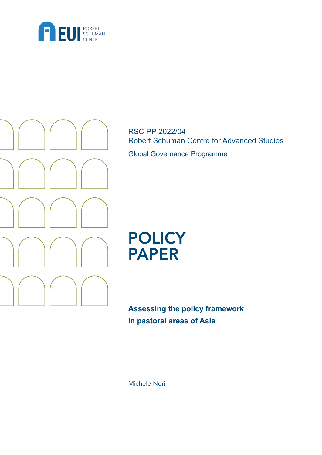



RSC PP 2022/04 Robert Schuman Centre for Advanced Studies Global Governance Programme

# **POLICY** PAPER

**Assessing the policy framework in pastoral areas of Asia**

Michele Nori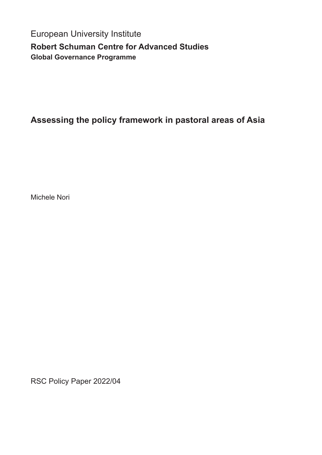European University Institute **Robert Schuman Centre for Advanced Studies Global Governance Programme**

**Assessing the policy framework in pastoral areas of Asia**

Michele Nori

RSC Policy Paper 2022/04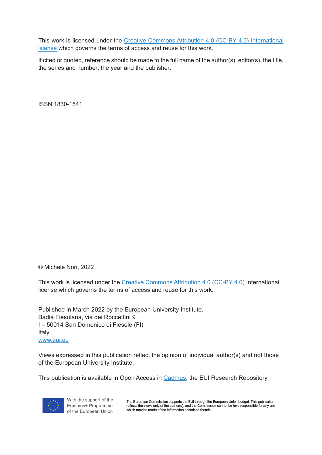This work is licensed under the [Creative Commons Attribution 4.0 \(CC-BY 4.0\) International](https://creativecommons.org/licenses/by/4.0/) [license](https://creativecommons.org/licenses/by/4.0/) which governs the terms of access and reuse for this work.

If cited or quoted, reference should be made to the full name of the author(s), editor(s), the title, the series and number, the year and the publisher.

ISSN 1830-1541

© Michele Nori, 2022

This work is licensed under the [Creative Commons Attribution 4.0 \(CC-BY 4.0\) International](https://creativecommons.org/licenses/by/4.0/)  [license](https://creativecommons.org/licenses/by/4.0/) which governs the terms of access and reuse for this work.

Published in March 2022 by the European University Institute. Badia Fiesolana, via dei Roccettini 9 I – 50014 San Domenico di Fiesole (FI) Italy [www.eui.eu](http://www.eui.eu)

Views expressed in this publication reflect the opinion of individual author(s) and not those of the European University Institute.

This publication is available in Open Access in [Cadmus,](https://cadmus.eui.eu ) the EUI Research Repository



With the support of the Erasmus+ Programme of the European Union

The European Commission supports the EUI through the European Union budget. This publication<br>reflects the views only of the author(s), and the Commission cannot be held responsible for any use which may be made of the information contained therein.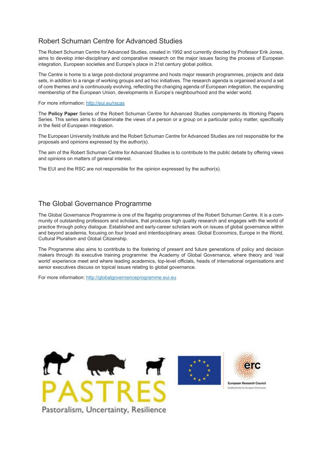## Robert Schuman Centre for Advanced Studies

The Robert Schuman Centre for Advanced Studies, created in 1992 and currently directed by Professor Erik Jones, aims to develop inter-disciplinary and comparative research on the major issues facing the process of European integration, European societies and Europe's place in 21st century global politics.

The Centre is home to a large post-doctoral programme and hosts major research programmes, projects and data sets, in addition to a range of working groups and ad hoc initiatives. The research agenda is organised around a set of core themes and is continuously evolving, reflecting the changing agenda of European integration, the expanding membership of the European Union, developments in Europe's neighbourhood and the wider world.

For more information:<http://eui.eu/rscas>

The **Policy Paper** Series of the Robert Schuman Centre for Advanced Studies complements its Working Papers Series. This series aims to disseminate the views of a person or a group on a particular policy matter, specifically in the field of European integration.

The European University Institute and the Robert Schuman Centre for Advanced Studies are not responsible for the proposals and opinions expressed by the author(s).

The aim of the Robert Schuman Centre for Advanced Studies is to contribute to the public debate by offering views and opinions on matters of general interest.

The EUI and the RSC are not responsible for the opinion expressed by the author(s).

## The Global Governance Programme

The Global Governance Programme is one of the flagship programmes of the Robert Schuman Centre. It is a community of outstanding professors and scholars, that produces high quality research and engages with the world of practice through policy dialogue. Established and early-career scholars work on issues of global governance within and beyond academia, focusing on four broad and interdisciplinary areas: Global Economics, Europe in the World, Cultural Pluralism and Global Citizenship.

The Programme also aims to contribute to the fostering of present and future generations of policy and decision makers through its executive training programme: the Academy of Global Governance, where theory and 'real world' experience meet and where leading academics, top-level officials, heads of international organisations and senior executives discuss on topical issues relating to global governance.

For more information:<http://globalgovernanceprogramme.eui.eu>







shed to the European Pa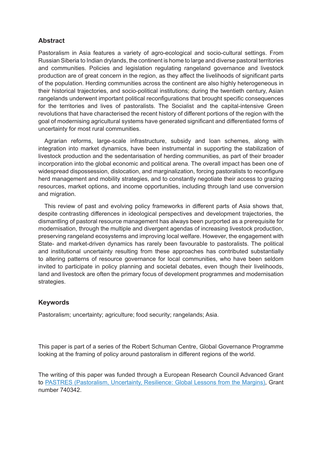## **Abstract**

Pastoralism in Asia features a variety of agro-ecological and socio-cultural settings. From Russian Siberia to Indian drylands, the continent is home to large and diverse pastoral territories and communities. Policies and legislation regulating rangeland governance and livestock production are of great concern in the region, as they affect the livelihoods of significant parts of the population. Herding communities across the continent are also highly heterogeneous in their historical trajectories, and socio-political institutions; during the twentieth century, Asian rangelands underwent important political reconfigurations that brought specific consequences for the territories and lives of pastoralists. The Socialist and the capital-intensive Green revolutions that have characterised the recent history of different portions of the region with the goal of modernising agricultural systems have generated significant and differentiated forms of uncertainty for most rural communities.

Agrarian reforms, large-scale infrastructure, subsidy and loan schemes, along with integration into market dynamics, have been instrumental in supporting the stabilization of livestock production and the sedentarisation of herding communities, as part of their broader incorporation into the global economic and political arena. The overall impact has been one of widespread dispossession, dislocation, and marginalization, forcing pastoralists to reconfigure herd management and mobility strategies, and to constantly negotiate their access to grazing resources, market options, and income opportunities, including through land use conversion and migration.

This review of past and evolving policy frameworks in different parts of Asia shows that, despite contrasting differences in ideological perspectives and development trajectories, the dismantling of pastoral resource management has always been purported as a prerequisite for modernisation, through the multiple and divergent agendas of increasing livestock production, preserving rangeland ecosystems and improving local welfare. However, the engagement with State- and market-driven dynamics has rarely been favourable to pastoralists. The political and institutional uncertainty resulting from these approaches has contributed substantially to altering patterns of resource governance for local communities, who have been seldom invited to participate in policy planning and societal debates, even though their livelihoods, land and livestock are often the primary focus of development programmes and modernisation strategies.

## **Keywords**

Pastoralism; uncertainty; agriculture; food security; rangelands; Asia.

This paper is part of a series of the Robert Schuman Centre, Global Governance Programme looking at the framing of policy around pastoralism in different regions of the world.

The writing of this paper was funded through a European Research Council Advanced Grant to [PASTRES \(Pastoralism, Uncertainty, Resilience: Global Lessons from the Margins\)](https://pastres.org/), Grant number 740342.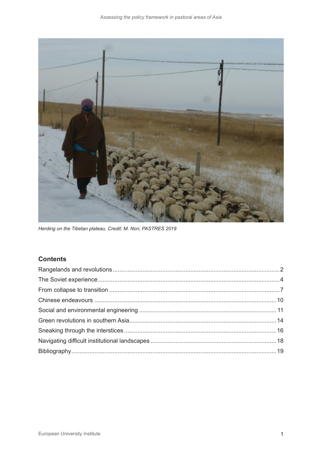

Herding on the Tibetan plateau. Credit: M. Nori, PASTRES 2019

## **Contents**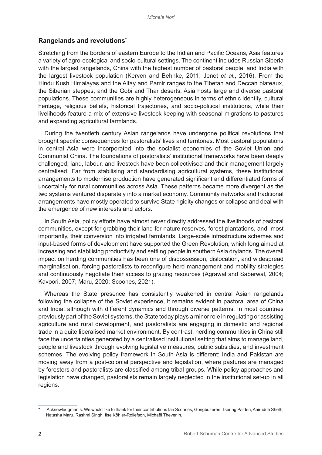#### <span id="page-7-0"></span>**Rangelands and revolutions\***

Stretching from the borders of eastern Europe to the Indian and Pacific Oceans, Asia features a variety of agro-ecological and socio-cultural settings. The continent includes Russian Siberia with the largest rangelands, China with the highest number of pastoral people, and India with the largest livestock population (Kerven and Behnke, 2011; Jenet *et al.*, 2016). From the Hindu Kush Himalayas and the Altay and Pamir ranges to the Tibetan and Deccan plateaux, the Siberian steppes, and the Gobi and Thar deserts, Asia hosts large and diverse pastoral populations. These communities are highly heterogeneous in terms of ethnic identity, cultural heritage, religious beliefs, historical trajectories, and socio-political institutions, while their livelihoods feature a mix of extensive livestock-keeping with seasonal migrations to pastures and expanding agricultural farmlands.

During the twentieth century Asian rangelands have undergone political revolutions that brought specific consequences for pastoralists' lives and territories. Most pastoral populations in central Asia were incorporated into the socialist economies of the Soviet Union and Communist China. The foundations of pastoralists' institutional frameworks have been deeply challenged; land, labour, and livestock have been collectivised and their management largely centralised. Far from stabilising and standardising agricultural systems, these institutional arrangements to modernise production have generated significant and differentiated forms of uncertainty for rural communities across Asia. These patterns became more divergent as the two systems ventured disparately into a market economy. Community networks and traditional arrangements have mostly operated to survive State rigidity changes or collapse and deal with the emergence of new interests and actors.

In South Asia, policy efforts have almost never directly addressed the livelihoods of pastoral communities, except for grabbing their land for nature reserves, forest plantations, and, most importantly, their conversion into irrigated farmlands. Large-scale infrastructure schemes and input-based forms of development have supported the Green Revolution, which long aimed at increasing and stabilising productivity and settling people in southern Asia drylands. The overall impact on herding communities has been one of dispossession, dislocation, and widespread marginalisation, forcing pastoralists to reconfigure herd management and mobility strategies and continuously negotiate their access to grazing resources (Agrawal and Saberwal, 2004; Kavoori, 2007; Maru, 2020; Scoones, 2021).

Whereas the State presence has consistently weakened in central Asian rangelands following the collapse of the Soviet experience, it remains evident in pastoral area of China and India, although with different dynamics and through diverse patterns. In most countries previously part of the Soviet systems, the State today plays a minor role in regulating or assisting agriculture and rural development, and pastoralists are engaging in domestic and regional trade in a quite liberalised market environment. By contrast, herding communities in China still face the uncertainties generated by a centralised institutional setting that aims to manage land, people and livestock through evolving legislative measures, public subsidies, and investment schemes. The evolving policy framework in South Asia is different: India and Pakistan are moving away from a post-colonial perspective and legislation, where pastures are managed by foresters and pastoralists are classified among tribal groups. While policy approaches and legislation have changed, pastoralists remain largely neglected in the institutional set-up in all regions.

Acknowledgments: We would like to thank for their contributions Ian Scoones, Gongbuzeren, Tsering Palden, Aniruddh Sheth, Natasha Maru, Rashmi Singh, Ilse Köhler-Rollefson, Michaël Thevenin.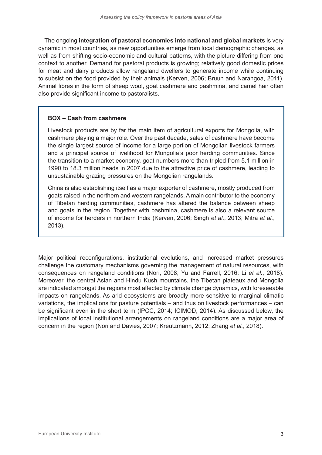The ongoing **integration of pastoral economies into national and global markets** is very dynamic in most countries, as new opportunities emerge from local demographic changes, as well as from shifting socio-economic and cultural patterns, with the picture differing from one context to another. Demand for pastoral products is growing; relatively good domestic prices for meat and dairy products allow rangeland dwellers to generate income while continuing to subsist on the food provided by their animals (Kerven, 2006; Bruun and Narangoa, 2011). Animal fibres in the form of sheep wool, goat cashmere and pashmina, and camel hair often also provide significant income to pastoralists.

#### **BOX – Cash from cashmere**

Livestock products are by far the main item of agricultural exports for Mongolia, with cashmere playing a major role. Over the past decade, sales of cashmere have become the single largest source of income for a large portion of Mongolian livestock farmers and a principal source of livelihood for Mongolia's poor herding communities. Since the transition to a market economy, goat numbers more than tripled from 5.1 million in 1990 to 18.3 million heads in 2007 due to the attractive price of cashmere, leading to unsustainable grazing pressures on the Mongolian rangelands.

China is also establishing itself as a major exporter of cashmere, mostly produced from goats raised in the northern and western rangelands. A main contributor to the economy of Tibetan herding communities, cashmere has altered the balance between sheep and goats in the region. Together with pashmina, cashmere is also a relevant source of income for herders in northern India (Kerven, 2006; Singh *et al.*, 2013; Mitra *et al.*, 2013).

Major political reconfigurations, institutional evolutions, and increased market pressures challenge the customary mechanisms governing the management of natural resources, with consequences on rangeland conditions (Nori, 2008; Yu and Farrell, 2016; Li *et al.*, 2018). Moreover, the central Asian and Hindu Kush mountains, the Tibetan plateaux and Mongolia are indicated amongst the regions most affected by climate change dynamics, with foreseeable impacts on rangelands. As arid ecosystems are broadly more sensitive to marginal climatic variations, the implications for pasture potentials – and thus on livestock performances – can be significant even in the short term (IPCC, 2014; ICIMOD, 2014). As discussed below, the implications of local institutional arrangements on rangeland conditions are a major area of concern in the region (Nori and Davies, 2007; Kreutzmann, 2012; Zhang *et al.*, 2018).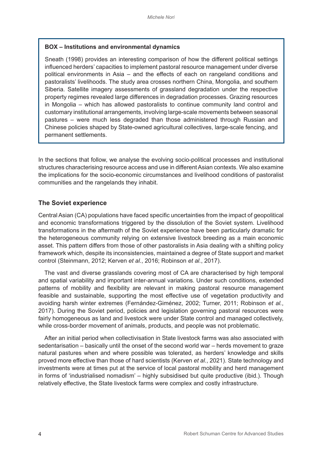#### <span id="page-9-0"></span>**BOX – Institutions and environmental dynamics**

Sneath (1998) provides an interesting comparison of how the different political settings influenced herders' capacities to implement pastoral resource management under diverse political environments in Asia – and the effects of each on rangeland conditions and pastoralists' livelihoods. The study area crosses northern China, Mongolia, and southern Siberia. Satellite imagery assessments of grassland degradation under the respective property regimes revealed large differences in degradation processes. Grazing resources in Mongolia – which has allowed pastoralists to continue community land control and customary institutional arrangements, involving large-scale movements between seasonal pastures – were much less degraded than those administered through Russian and Chinese policies shaped by State-owned agricultural collectives, large-scale fencing, and permanent settlements.

In the sections that follow, we analyse the evolving socio-political processes and institutional structures characterising resource access and use in different Asian contexts. We also examine the implications for the socio-economic circumstances and livelihood conditions of pastoralist communities and the rangelands they inhabit.

#### **The Soviet experience**

Central Asian (CA) populations have faced specific uncertainties from the impact of geopolitical and economic transformations triggered by the dissolution of the Soviet system. Livelihood transformations in the aftermath of the Soviet experience have been particularly dramatic for the heterogeneous community relying on extensive livestock breeding as a main economic asset. This pattern differs from those of other pastoralists in Asia dealing with a shifting policy framework which, despite its inconsistencies, maintained a degree of State support and market control (Steinmann, 2012; Kerven *et al.*, 2016; Robinson *et al.*, 2017).

The vast and diverse grasslands covering most of CA are characterised by high temporal and spatial variability and important inter-annual variations. Under such conditions, extended patterns of mobility and flexibility are relevant in making pastoral resource management feasible and sustainable, supporting the most effective use of vegetation productivity and avoiding harsh winter extremes (Fernández-Giménez, 2002; Turner, 2011; Robinson *et al.*, 2017). During the Soviet period, policies and legislation governing pastoral resources were fairly homogeneous as land and livestock were under State control and managed collectively, while cross-border movement of animals, products, and people was not problematic.

After an initial period when collectivisation in State livestock farms was also associated with sedentarisation – basically until the onset of the second world war – herds movement to graze natural pastures when and where possible was tolerated, as herders' knowledge and skills proved more effective than those of hard scientists (Kerven *et al.*, 2021). State technology and investments were at times put at the service of local pastoral mobility and herd management in forms of 'industrialised nomadism' – highly subsidised but quite productive (ibid.). Though relatively effective, the State livestock farms were complex and costly infrastructure.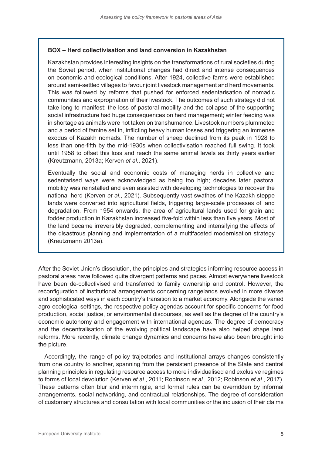#### **BOX – Herd collectivisation and land conversion in Kazakhstan**

Kazakhstan provides interesting insights on the transformations of rural societies during the Soviet period, when institutional changes had direct and intense consequences on economic and ecological conditions. After 1924, collective farms were established around semi-settled villages to favour joint livestock management and herd movements. This was followed by reforms that pushed for enforced sedentarisation of nomadic communities and expropriation of their livestock. The outcomes of such strategy did not take long to manifest: the loss of pastoral mobility and the collapse of the supporting social infrastructure had huge consequences on herd management; winter feeding was in shortage as animals were not taken on transhumance. Livestock numbers plummeted and a period of famine set in, inflicting heavy human losses and triggering an immense exodus of Kazakh nomads. The number of sheep declined from its peak in 1928 to less than one-fifth by the mid-1930s when collectivisation reached full swing. It took until 1958 to offset this loss and reach the same animal levels as thirty years earlier (Kreutzmann, 2013a; Kerven *et al.*, 2021).

Eventually the social and economic costs of managing herds in collective and sedentarised ways were acknowledged as being too high; decades later pastoral mobility was reinstalled and even assisted with developing technologies to recover the national herd (Kerven *et al.*, 2021). Subsequently vast swathes of the Kazakh steppe lands were converted into agricultural fields, triggering large-scale processes of land degradation. From 1954 onwards, the area of agricultural lands used for grain and fodder production in Kazakhstan increased five-fold within less than five years. Most of the land became irreversibly degraded, complementing and intensifying the effects of the disastrous planning and implementation of a multifaceted modernisation strategy (Kreutzmann 2013a).

After the Soviet Union's dissolution, the principles and strategies informing resource access in pastoral areas have followed quite divergent patterns and paces. Almost everywhere livestock have been de-collectivised and transferred to family ownership and control. However, the reconfiguration of institutional arrangements concerning rangelands evolved in more diverse and sophisticated ways in each country's transition to a market economy. Alongside the varied agro-ecological settings, the respective policy agendas account for specific concerns for food production, social justice, or environmental discourses, as well as the degree of the country's economic autonomy and engagement with international agendas. The degree of democracy and the decentralisation of the evolving political landscape have also helped shape land reforms. More recently, climate change dynamics and concerns have also been brought into the picture.

Accordingly, the range of policy trajectories and institutional arrays changes consistently from one country to another, spanning from the persistent presence of the State and central planning principles in regulating resource access to more individualised and exclusive regimes to forms of local devolution (Kerven *et al.*, 2011; Robinson *et al.,* 2012; Robinson *et al.*, 2017). These patterns often blur and intermingle, and formal rules can be overridden by informal arrangements, social networking, and contractual relationships. The degree of consideration of customary structures and consultation with local communities or the inclusion of their claims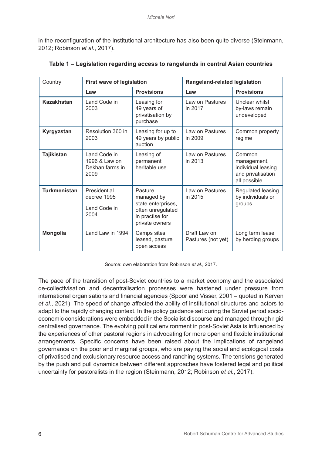in the reconfiguration of the institutional architecture has also been quite diverse (Steinmann, 2012; Robinson *et al.*, 2017).

| Country             | First wave of legislation                                |                                                                                                       | Rangeland-related legislation      |                                                                                  |  |
|---------------------|----------------------------------------------------------|-------------------------------------------------------------------------------------------------------|------------------------------------|----------------------------------------------------------------------------------|--|
|                     | Law                                                      | <b>Provisions</b>                                                                                     | Law                                | <b>Provisions</b>                                                                |  |
| <b>Kazakhstan</b>   | Land Code in<br>2003                                     | Leasing for<br>49 years of<br>privatisation by<br>purchase                                            | Law on Pastures<br>in 2017         | Unclear whilst<br>by-laws remain<br>undeveloped                                  |  |
| Kyrgyzstan          | Resolution 360 in<br>2003                                | Leasing for up to<br>49 years by public<br>auction                                                    | Law on Pastures<br>in 2009         | Common property<br>regime                                                        |  |
| <b>Tajikistan</b>   | Land Code in<br>1996 & Law on<br>Dekhan farms in<br>2009 | Leasing of<br>permanent<br>heritable use                                                              | Law on Pastures<br>in 2013         | Common<br>management,<br>individual leasing<br>and privatisation<br>all possible |  |
| <b>Turkmenistan</b> | Presidential<br>decree 1995<br>Land Code in<br>2004      | Pasture<br>managed by<br>state enterprises,<br>often unregulated<br>in practise for<br>private owners | Law on Pastures<br>in 2015         | Regulated leasing<br>by individuals or<br>groups                                 |  |
| <b>Mongolia</b>     | Land Law in 1994                                         | Camps sites<br>leased, pasture<br>open access                                                         | Draft Law on<br>Pastures (not yet) | Long term lease<br>by herding groups                                             |  |

## **Table 1 – Legislation regarding access to rangelands in central Asian countries**

Source: own elaboration from Robinson *et al.*, 2017.

The pace of the transition of post-Soviet countries to a market economy and the associated de-collectivisation and decentralisation processes were hastened under pressure from international organisations and financial agencies (Spoor and Visser, 2001 – quoted in Kerven *et al.*, 2021). The speed of change affected the ability of institutional structures and actors to adapt to the rapidly changing context. In the policy guidance set during the Soviet period socioeconomic considerations were embedded in the Socialist discourse and managed through rigid centralised governance. The evolving political environment in post-Soviet Asia is influenced by the experiences of other pastoral regions in advocating for more open and flexible institutional arrangements. Specific concerns have been raised about the implications of rangeland governance on the poor and marginal groups, who are paying the social and ecological costs of privatised and exclusionary resource access and ranching systems. The tensions generated by the push and pull dynamics between different approaches have fostered legal and political uncertainty for pastoralists in the region (Steinmann, 2012; Robinson *et al.*, 2017).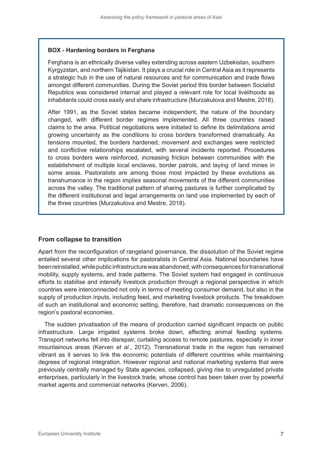#### <span id="page-12-0"></span>**BOX - Hardening borders in Ferghana**

Ferghana is an ethnically diverse valley extending across eastern Uzbekistan, southern Kyrgyzstan, and northern Tajikistan. It plays a crucial role in Central Asia as it represents a strategic hub in the use of natural resources and for communication and trade flows amongst different communities. During the Soviet period this border between Socialist Republics was considered internal and played a relevant role for local livelihoods as inhabitants could cross easily and share infrastructure (Murzakulova and Mestre, 2018).

After 1991, as the Soviet states became independent, the nature of the boundary changed, with different border regimes implemented. All three countries raised claims to the area. Political negotiations were initiated to define its delimitations amid growing uncertainty as the conditions to cross borders transformed dramatically. As tensions mounted, the borders hardened; movement and exchanges were restricted and conflictive relationships escalated, with several incidents reported. Procedures to cross borders were reinforced, increasing friction between communities with the establishment of multiple local enclaves, border patrols, and laying of land mines in some areas. Pastoralists are among those most impacted by these evolutions as transhumance in the region implies seasonal movements of the different communities across the valley. The traditional pattern of sharing pastures is further complicated by the different institutional and legal arrangements on land use implemented by each of the three countries (Murzakulova and Mestre, 2018).

## **From collapse to transition**

Apart from the reconfiguration of rangeland governance, the dissolution of the Soviet regime entailed several other implications for pastoralists in Central Asia. National boundaries have been reinstalled, while public infrastructure was abandoned, with consequences for transnational mobility, supply systems, and trade patterns. The Soviet system had engaged in continuous efforts to stabilise and intensify livestock production through a regional perspective in which countries were interconnected not only in terms of meeting consumer demand, but also in the supply of production inputs, including feed, and marketing livestock products. The breakdown of such an institutional and economic setting, therefore, had dramatic consequences on the region's pastoral economies.

The sudden privatisation of the means of production carried significant impacts on public infrastructure. Large irrigated systems broke down, affecting animal feeding systems. Transport networks fell into disrepair, curtailing access to remote pastures, especially in inner mountainous areas (Kerven *et al.*, 2012). Transnational trade in the region has remained vibrant as it serves to link the economic potentials of different countries while maintaining degrees of regional integration. However regional and national marketing systems that were previously centrally managed by State agencies, collapsed, giving rise to unregulated private enterprises, particularly in the livestock trade, whose control has been taken over by powerful market agents and commercial networks (Kerven, 2006).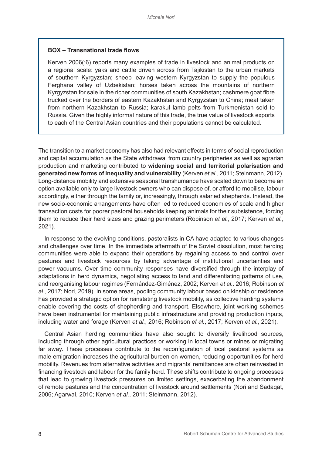#### **BOX – Transnational trade flows**

Kerven 2006(:6) reports many examples of trade in livestock and animal products on a regional scale: yaks and cattle driven across from Tajikistan to the urban markets of southern Kyrgyzstan; sheep leaving western Kyrgyzstan to supply the populous Ferghana valley of Uzbekistan; horses taken across the mountains of northern Kyrgyzstan for sale in the richer communities of south Kazakhstan; cashmere goat fibre trucked over the borders of eastern Kazakhstan and Kyrgyzstan to China; meat taken from northern Kazakhstan to Russia; karakul lamb pelts from Turkmenistan sold to Russia. Given the highly informal nature of this trade, the true value of livestock exports to each of the Central Asian countries and their populations cannot be calculated.

The transition to a market economy has also had relevant effects in terms of social reproduction and capital accumulation as the State withdrawal from country peripheries as well as agrarian production and marketing contributed to **widening social and territorial polarisation and generated new forms of inequality and vulnerability** (Kerven *et al.*, 2011; Steinmann, 2012). Long-distance mobility and extensive seasonal transhumance have scaled down to become an option available only to large livestock owners who can dispose of, or afford to mobilise, labour accordingly, either through the family or, increasingly, through salaried shepherds. Instead, the new socio-economic arrangements have often led to reduced economies of scale and higher transaction costs for poorer pastoral households keeping animals for their subsistence, forcing them to reduce their herd sizes and grazing perimeters (Robinson *et al.*, 2017; Kerven *et al.*, 2021).

In response to the evolving conditions, pastoralists in CA have adapted to various changes and challenges over time. In the immediate aftermath of the Soviet dissolution, most herding communities were able to expand their operations by regaining access to and control over pastures and livestock resources by taking advantage of institutional uncertainties and power vacuums. Over time community responses have diversified through the interplay of adaptations in herd dynamics, negotiating access to land and differentiating patterns of use, and reorganising labour regimes (Fernández-Giménez, 2002; Kerven *et al.,* 2016; Robinson *et al.,* 2017; Nori, 2019). In some areas, pooling community labour based on kinship or residence has provided a strategic option for reinstating livestock mobility, as collective herding systems enable covering the costs of shepherding and transport. Elsewhere, joint working schemes have been instrumental for maintaining public infrastructure and providing production inputs, including water and forage (Kerven *et al.*, 2016; Robinson *et al.*, 2017; Kerven *et al.*, 2021).

Central Asian herding communities have also sought to diversify livelihood sources, including through other agricultural practices or working in local towns or mines or migrating far away. These processes contribute to the reconfiguration of local pastoral systems as male emigration increases the agricultural burden on women, reducing opportunities for herd mobility. Revenues from alternative activities and migrants' remittances are often reinvested in financing livestock and labour for the family herd. These shifts contribute to ongoing processes that lead to growing livestock pressures on limited settings, exacerbating the abandonment of remote pastures and the concentration of livestock around settlements (Nori and Sadaqat, 2006; Agarwal, 2010; Kerven *et al.*, 2011; Steinmann, 2012).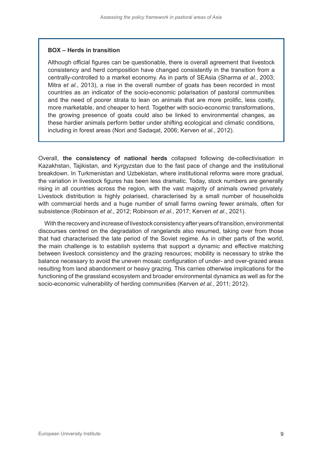#### **BOX – Herds in transition**

Although official figures can be questionable, there is overall agreement that livestock consistency and herd composition have changed consistently in the transition from a centrally-controlled to a market economy. As in parts of SEAsia (Sharma *et al.*, 2003; Mitra *et al.*, 2013), a rise in the overall number of goats has been recorded in most countries as an indicator of the socio-economic polarisation of pastoral communities and the need of poorer strata to lean on animals that are more prolific, less costly, more marketable, and cheaper to herd. Together with socio-economic transformations, the growing presence of goats could also be linked to environmental changes, as these hardier animals perform better under shifting ecological and climatic conditions, including in forest areas (Nori and Sadaqat, 2006; Kerven *et al.*, 2012).

Overall, **the consistency of national herds** collapsed following de-collectivisation in Kazakhstan, Tajikistan, and Kyrgyzstan due to the fast pace of change and the institutional breakdown. In Turkmenistan and Uzbekistan, where institutional reforms were more gradual, the variation in livestock figures has been less dramatic. Today, stock numbers are generally rising in all countries across the region, with the vast majority of animals owned privately. Livestock distribution is highly polarised, characterised by a small number of households with commercial herds and a huge number of small farms owning fewer animals, often for subsistence (Robinson *et al.*, 2012; Robinson *et al.*, 2017; Kerven *et al.*, 2021).

With the recovery and increase of livestock consistency after years of transition, environmental discourses centred on the degradation of rangelands also resumed, taking over from those that had characterised the late period of the Soviet regime. As in other parts of the world, the main challenge is to establish systems that support a dynamic and effective matching between livestock consistency and the grazing resources; mobility is necessary to strike the balance necessary to avoid the uneven mosaic configuration of under- and over-grazed areas resulting from land abandonment or heavy grazing. This carries otherwise implications for the functioning of the grassland ecosystem and broader environmental dynamics as well as for the socio-economic vulnerability of herding communities (Kerven *et al.*, 2011; 2012).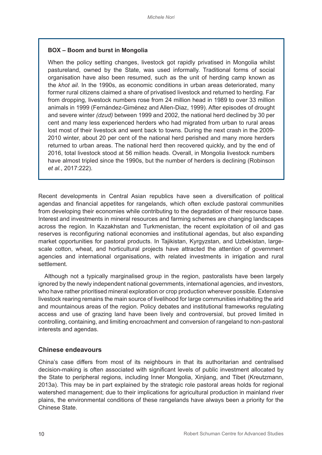## <span id="page-15-0"></span>**BOX – Boom and burst in Mongolia**

When the policy setting changes, livestock got rapidly privatised in Mongolia whilst pastureland, owned by the State, was used informally. Traditional forms of social organisation have also been resumed, such as the unit of herding camp known as the *khot ail*. In the 1990s, as economic conditions in urban areas deteriorated, many former rural citizens claimed a share of privatised livestock and returned to herding. Far from dropping, livestock numbers rose from 24 million head in 1989 to over 33 million animals in 1999 (Fernández-Giménez and Allen-Diaz, 1999). After episodes of drought and severe winter *(dzud)* between 1999 and 2002, the national herd declined by 30 per cent and many less experienced herders who had migrated from urban to rural areas lost most of their livestock and went back to towns. During the next crash in the 2009- 2010 winter, about 20 per cent of the national herd perished and many more herders returned to urban areas. The national herd then recovered quickly, and by the end of 2016, total livestock stood at 56 million heads. Overall, in Mongolia livestock numbers have almost tripled since the 1990s, but the number of herders is declining (Robinson *et al.*, 2017:222).

Recent developments in Central Asian republics have seen a diversification of political agendas and financial appetites for rangelands, which often exclude pastoral communities from developing their economies while contributing to the degradation of their resource base. Interest and investments in mineral resources and farming schemes are changing landscapes across the region. In Kazakhstan and Turkmenistan, the recent exploitation of oil and gas reserves is reconfiguring national economies and institutional agendas, but also expanding market opportunities for pastoral products. In Tajikistan, Kyrgyzstan, and Uzbekistan, largescale cotton, wheat, and horticultural projects have attracted the attention of government agencies and international organisations, with related investments in irrigation and rural settlement.

Although not a typically marginalised group in the region, pastoralists have been largely ignored by the newly independent national governments, international agencies, and investors, who have rather prioritised mineral exploration or crop production wherever possible. Extensive livestock rearing remains the main source of livelihood for large communities inhabiting the arid and mountainous areas of the region. Policy debates and institutional frameworks regulating access and use of grazing land have been lively and controversial, but proved limited in controlling, containing, and limiting encroachment and conversion of rangeland to non-pastoral interests and agendas.

## **Chinese endeavours**

China's case differs from most of its neighbours in that its authoritarian and centralised decision-making is often associated with significant levels of public investment allocated by the State to peripheral regions, including Inner Mongolia, Xinjiang, and Tibet (Kreutzmann, 2013a). This may be in part explained by the strategic role pastoral areas holds for regional watershed management; due to their implications for agricultural production in mainland river plains, the environmental conditions of these rangelands have always been a priority for the Chinese State.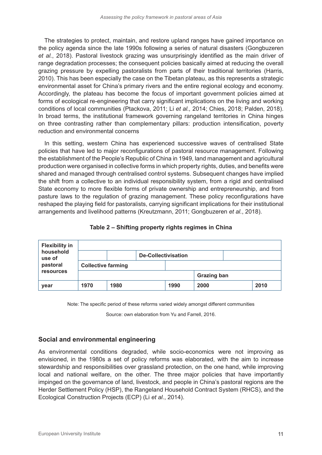<span id="page-16-0"></span>The strategies to protect, maintain, and restore upland ranges have gained importance on the policy agenda since the late 1990s following a series of natural disasters (Gongbuzeren *et al.*, 2018). Pastoral livestock grazing was unsurprisingly identified as the main driver of range degradation processes; the consequent policies basically aimed at reducing the overall grazing pressure by expelling pastoralists from parts of their traditional territories (Harris, 2010). This has been especially the case on the Tibetan plateau, as this represents a strategic environmental asset for China's primary rivers and the entire regional ecology and economy. Accordingly, the plateau has become the focus of important government policies aimed at forms of ecological re-engineering that carry significant implications on the living and working conditions of local communities (Ptackova, 2011; Li *et al.,* 2014; Chies, 2018; Palden, 2018). In broad terms, the institutional framework governing rangeland territories in China hinges on three contrasting rather than complementary pillars: production intensification, poverty reduction and environmental concerns

In this setting, western China has experienced successive waves of centralised State policies that have led to major reconfigurations of pastoral resource management. Following the establishment of the People's Republic of China in 1949, land management and agricultural production were organised in collective forms in which property rights, duties, and benefits were shared and managed through centralised control systems. Subsequent changes have implied the shift from a collective to an individual responsibility system, from a rigid and centralised State economy to more flexible forms of private ownership and entrepreneurship, and from pasture laws to the regulation of grazing management. These policy reconfigurations have reshaped the playing field for pastoralists, carrying significant implications for their institutional arrangements and livelihood patterns (Kreutzmann, 2011; Gongbuzeren *et al.*, 2018).

| <b>Flexibility in</b><br>household |                           |      |                     |      |                    |      |
|------------------------------------|---------------------------|------|---------------------|------|--------------------|------|
| use of                             |                           |      | De-Collectivisation |      |                    |      |
| pastoral                           | <b>Collective farming</b> |      |                     |      |                    |      |
| <b>resources</b>                   |                           |      |                     |      | <b>Grazing ban</b> |      |
| year                               | 1970                      | 1980 |                     | 1990 | 2000               | 2010 |

#### **Table 2 – Shifting property rights regimes in China**

Note: The specific period of these reforms varied widely amongst different communities

Source: own elaboration from Yu and Farrell, 2016.

#### **Social and environmental engineering**

As environmental conditions degraded, while socio-economics were not improving as envisioned, in the 1980s a set of policy reforms was elaborated, with the aim to increase stewardship and responsibilities over grassland protection, on the one hand, while improving local and national welfare, on the other. The three major policies that have importantly impinged on the governance of land, livestock, and people in China's pastoral regions are the Herder Settlement Policy (HSP), the Rangeland Household Contract System (RHCS), and the Ecological Construction Projects (ECP) (Li *et al.*, 2014).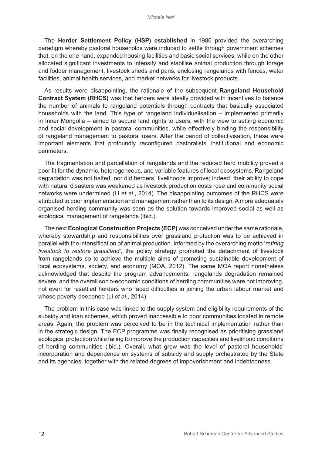The **Herder Settlement Policy (HSP) established** in 1986 provided the overarching paradigm whereby pastoral households were induced to settle through government schemes that, on the one hand, expanded housing facilities and basic social services, while on the other allocated significant investments to intensify and stabilise animal production through forage and fodder management, livestock sheds and pans, enclosing rangelands with fences, water facilities, animal health services, and market networks for livestock products.

As results were disappointing, the rationale of the subsequent **Rangeland Household Contract System (RHCS)** was that herders were ideally provided with incentives to balance the number of animals to rangeland potentials through contracts that basically associated households with the land. This type of rangeland individualisation – implemented primarily in Inner Mongolia – aimed to secure land rights to users, with the view to setting economic and social development in pastoral communities, while effectively binding the responsibility of rangeland management to pastoral users. After the period of collectivisation, these were important elements that profoundly reconfigured pastoralists' institutional and economic perimeters.

The fragmentation and parcellation of rangelands and the reduced herd mobility proved a poor fit for the dynamic, heterogeneous, and variable features of local ecosystems. Rangeland degradation was not halted, nor did herders´ livelihoods improve; indeed, their ability to cope with natural disasters was weakened as livestock production costs rose and community social networks were undermined (Li *et al.*, 2014). The disappointing outcomes of the RHCS were attributed to poor implementation and management rather than to its design. A more adequately organised herding community was seen as the solution towards improved social as well as ecological management of rangelands (ibid.).

The next **Ecological Construction Projects (ECP)** was conceived under the same rationale, whereby stewardship and responsibilities over grassland protection was to be achieved in parallel with the intensification of animal production. Informed by the overarching motto '*retiring livestock to restore grassland'*, the policy strategy promoted the detachment of livestock from rangelands so to achieve the multiple aims of promoting sustainable development of local ecosystems, society, and economy (MOA, 2012). The same MOA report nonetheless acknowledged that despite the program advancements, rangelands degradation remained severe, and the overall socio-economic conditions of herding communities were not improving, not even for resettled herders who faced difficulties in joining the urban labour market and whose poverty deepened (Li *et al.*, 2014).

The problem in this case was linked to the supply system and eligibility requirements of the subsidy and loan schemes, which proved inaccessible to poor communities located in remote areas. Again, the problem was perceived to be in the technical implementation rather than in the strategic design. The ECP programme was finally recognised as prioritising grassland ecological protection while failing to improve the production capacities and livelihood conditions of herding communities (ibid.). Overall, what grew was the level of pastoral households' incorporation and dependence on systems of subsidy and supply orchestrated by the State and its agencies, together with the related degrees of impoverishment and indebtedness.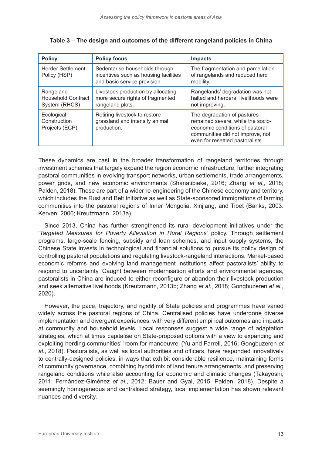| <b>Policy</b>                                           | <b>Policy focus</b>                                                                                     | <b>Impacts</b>                                                                                                                                                              |
|---------------------------------------------------------|---------------------------------------------------------------------------------------------------------|-----------------------------------------------------------------------------------------------------------------------------------------------------------------------------|
| <b>Herder Settlement</b><br>Policy (HSP)                | Sedentarise households through<br>incentives such as housing facilities<br>and basic service provision. | The fragmentation and parcellation<br>of rangelands and reduced herd<br>mobility.                                                                                           |
| Rangeland<br><b>Household Contract</b><br>System (RHCS) | Livestock production by allocating<br>more secure rights of fragmented<br>rangeland plots.              | Rangelands' degradation was not<br>halted and herders' livelihoods were<br>not improving.                                                                                   |
| Ecological<br>Construction<br>Projects (ECP)            | Retiring livestock to restore<br>grassland and intensify animal<br>production.                          | The degradation of pastures<br>remained severe, while the socio-<br>economic conditions of pastoral<br>communities did not improve, not<br>even for resettled pastoralists. |

**Table 3 – The design and outcomes of the different rangeland policies in China**

These dynamics are cast in the broader transformation of rangeland territories through investment schemes that largely expand the region economic infrastructure, further integrating pastoral communities in evolving transport networks, urban settlements, trade arrangements, power grids, and new economic environments (Shanatibieke, 2016; Zhang *et al.*, 2018; Palden, 2018). These are part of a wider re-engineering of the Chinese economy and territory, which includes the Rust and Belt Initiative as well as State-sponsored immigrations of farming communities into the pastoral regions of Inner Mongolia, Xinjiang, and Tibet (Banks, 2003: Kerven, 2006; Kreutzmann, 2013a).

Since 2013, China has further strengthened its rural development initiatives under the '*Targeted Measures for Poverty Alleviation in Rural Regions'* policy. Through settlement programs, large-scale fencing, subsidy and loan schemes, and input supply systems, the Chinese State invests in technological and financial solutions to pursue its policy design of controlling pastoral populations and regulating livestock-rangeland interactions. Market-based economic reforms and evolving land management institutions affect pastoralists' ability to respond to uncertainty. Caught between modernisation efforts and environmental agendas, pastoralists in China are induced to either reconfigure or abandon their livestock production and seek alternative livelihoods (Kreutzmann, 2013b; Zhang *et al.*, 2018; Gongbuzeren *et al.*, 2020).

However, the pace, trajectory, and rigidity of State policies and programmes have varied widely across the pastoral regions of China. Centralised policies have undergone diverse implementation and divergent experiences, with very different empirical outcomes and impacts at community and household levels. Local responses suggest a wide range of adaptation strategies, which at times capitalise on State-proposed options with a view to expanding and exploiting herding communities' 'room for manoeuvre' (Yu and Farrell, 2016; Gongbuzeren *et al.*, 2018). Pastoralists, as well as local authorities and officers, have responded innovatively to centrally-designed policies, in ways that exhibit considerable resilience, maintaining forms of community governance, combining hybrid mix of land tenure arrangements, and preserving rangeland conditions while also accounting for economic and climatic changes (Takayoshi, 2011; Fernández-Giménez *et al.*, 2012; Bauer and Gyal, 2015; Palden, 2018). Despite a seemingly homogeneous and centralised strategy, local implementation has shown relevant nuances and diversity.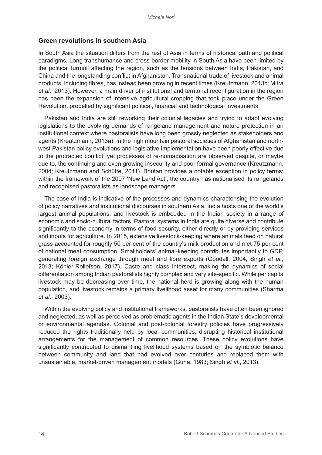#### <span id="page-19-0"></span>**Green revolutions in southern Asia**

In South Asia the situation differs from the rest of Asia in terms of historical path and political paradigms. Long transhumance and cross-border mobility in South Asia have been limited by the political turmoil affecting the region, such as the tensions between India, Pakistan, and China and the longstanding conflict in Afghanistan. Transnational trade of livestock and animal products, including fibres, has instead been growing in recent times (Kreutzmann, 2013c; Mitra *et al.*, 2013). However, a main driver of institutional and territorial reconfiguration in the region has been the expansion of intensive agricultural cropping that took place under the Green Revolution, propelled by significant political, financial and technological investments.

Pakistan and India are still reworking their colonial legacies and trying to adapt evolving legislations to the evolving demands of rangeland management and nature protection in an institutional context where pastoralists have long been grossly neglected as stakeholders and agents (Kreutzmann, 2013a). In the high mountain pastoral societies of Afghanistan and northwest Pakistan policy evolutions and legislative implementation have been poorly effective due to the protracted conflict; yet processes of re-nomadisation are observed despite, or maybe due to, the continuing and even growing insecurity and poor formal governance (Kreutzmann, 2004; Kreutzmann and Schütte, 2011). Bhutan provides a notable exception in policy terms; within the framework of the 2007 'New Land Act', the country has nationalised its rangelands and recognised pastoralists as landscape managers.

The case of India is indicative of the processes and dynamics characterising the evolution of policy narratives and institutional discourses in southern Asia. India hosts one of the world's largest animal populations, and livestock is embedded in the Indian society in a range of economic and socio-cultural factors. Pastoral systems in India are quite diverse and contribute significantly to the economy in terms of food security, either directly or by providing services and inputs for agriculture. In 2015, extensive livestock-keeping where animals feed on natural grass accounted for roughly 50 per cent of the country's milk production and met 75 per cent of national meat consumption. Smallholders' animal-keeping contributes importantly to GDP, generating foreign exchange through meat and fibre exports (Goodall, 2004; Singh *et al.*, 2013; Köhler-Rollefson, 2017). Caste and class intersect, making the dynamics of social differentiation among Indian pastoralists highly complex and very site-specific. While per capita livestock may be decreasing over time, the national herd is growing along with the human population, and livestock remains a primary livelihood asset for many communities (Sharma *et al.*, 2003).

Within the evolving policy and institutional frameworks, pastoralists have often been ignored and neglected, as well as perceived as problematic agents in the Indian State's developmental or environmental agendas. Colonial and post-colonial forestry policies have progressively reduced the rights traditionally held by local communities, disrupting historical institutional arrangements for the management of common resources. These policy evolutions have significantly contributed to dismantling livelihood systems based on the symbiotic balance between community and land that had evolved over centuries and replaced them with unsustainable, market-driven management models (Guha, 1983; Singh *et al.*, 2013).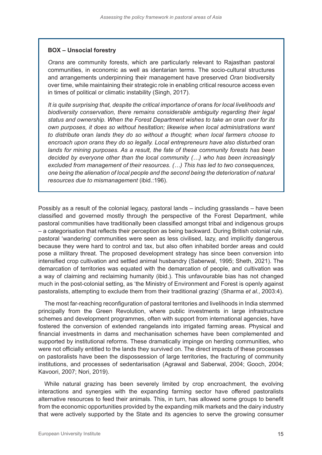#### **BOX – Unsocial forestry**

*Orans* are community forests, which are particularly relevant to Rajasthan pastoral communities, in economic as well as identarian terms. The socio-cultural structures and arrangements underpinning their management have preserved *Oran* biodiversity over time, while maintaining their strategic role in enabling critical resource access even in times of political or climatic instability (Singh, 2017).

*It is quite surprising that, despite the critical importance of orans for local livelihoods and biodiversity conservation, there remains considerable ambiguity regarding their legal status and ownership. When the Forest Department wishes to take an* oran *over for its own purposes, it does so without hesitation; likewise when local administrations want to distribute* oran *lands they do so without a thought; when local farmers choose to encroach upon orans they do so legally. Local entrepreneurs have also disturbed* oran *lands for mining purposes. As a result, the fate of these community forests has been decided by everyone other than the local community (…) who has been increasingly excluded from management of their resources. (…) This has led to two consequences, one being the alienation of local people and the second being the deterioration of natural resources due to mismanagement* (ibid.:196).

Possibly as a result of the colonial legacy, pastoral lands – including grasslands – have been classified and governed mostly through the perspective of the Forest Department, while pastoral communities have traditionally been classified amongst tribal and indigenous groups – a categorisation that reflects their perception as being backward. During British colonial rule, pastoral 'wandering' communities were seen as less civilised, lazy, and implicitly dangerous because they were hard to control and tax, but also often inhabited border areas and could pose a military threat. The proposed development strategy has since been conversion into intensified crop cultivation and settled animal husbandry (Saberwal, 1995; Sheth, 2021). The demarcation of territories was equated with the demarcation of people, and cultivation was a way of claiming and reclaiming humanity (ibid.). This unfavourable bias has not changed much in the post-colonial setting, as 'the Ministry of Environment and Forest is openly against pastoralists, attempting to exclude them from their traditional grazing' (Sharma *et al.*, 2003:4).

The most far-reaching reconfiguration of pastoral territories and livelihoods in India stemmed principally from the Green Revolution, where public investments in large infrastructure schemes and development programmes, often with support from international agencies, have fostered the conversion of extended rangelands into irrigated farming areas. Physical and financial investments in dams and mechanisation schemes have been complemented and supported by institutional reforms. These dramatically impinge on herding communities, who were not officially entitled to the lands they survived on. The direct impacts of these processes on pastoralists have been the dispossession of large territories, the fracturing of community institutions, and processes of sedentarisation (Agrawal and Saberwal, 2004; Gooch, 2004; Kavoori, 2007; Nori, 2019).

While natural grazing has been severely limited by crop encroachment, the evolving interactions and synergies with the expanding farming sector have offered pastoralists alternative resources to feed their animals. This, in turn, has allowed some groups to benefit from the economic opportunities provided by the expanding milk markets and the dairy industry that were actively supported by the State and its agencies to serve the growing consumer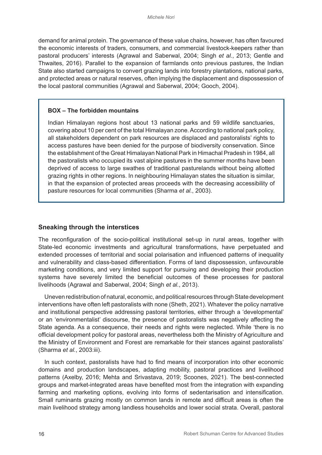<span id="page-21-0"></span>demand for animal protein. The governance of these value chains, however, has often favoured the economic interests of traders, consumers, and commercial livestock-keepers rather than pastoral producers' interests (Agrawal and Saberwal, 2004; Singh *et al.*, 2013; Gentle and Thwaites, 2016). Parallel to the expansion of farmlands onto previous pastures, the Indian State also started campaigns to convert grazing lands into forestry plantations, national parks, and protected areas or natural reserves, often implying the displacement and dispossession of the local pastoral communities (Agrawal and Saberwal, 2004; Gooch, 2004).

#### **BOX – The forbidden mountains**

Indian Himalayan regions host about 13 national parks and 59 wildlife sanctuaries, covering about 10 per cent of the total Himalayan zone. According to national park policy, all stakeholders dependent on park resources are displaced and pastoralists' rights to access pastures have been denied for the purpose of biodiversity conservation. Since the establishment of the Great Himalayan National Park in Himachal Pradesh in 1984, all the pastoralists who occupied its vast alpine pastures in the summer months have been deprived of access to large swathes of traditional pasturelands without being allotted grazing rights in other regions. In neighbouring Himalayan states the situation is similar, in that the expansion of protected areas proceeds with the decreasing accessibility of pasture resources for local communities (Sharma *et al.*, 2003).

## **Sneaking through the interstices**

The reconfiguration of the socio-political institutional set-up in rural areas, together with State-led economic investments and agricultural transformations, have perpetuated and extended processes of territorial and social polarisation and influenced patterns of inequality and vulnerability and class-based differentiation. Forms of land dispossession, unfavourable marketing conditions, and very limited support for pursuing and developing their production systems have severely limited the beneficial outcomes of these processes for pastoral livelihoods (Agrawal and Saberwal, 2004; Singh *et al.*, 2013).

Uneven redistribution of natural, economic, and political resources through State development interventions have often left pastoralists with none (Sheth, 2021). Whatever the policy narrative and institutional perspective addressing pastoral territories, either through a 'developmental' or an 'environmentalist' discourse, the presence of pastoralists was negatively affecting the State agenda. As a consequence, their needs and rights were neglected. While 'there is no official development policy for pastoral areas, nevertheless both the Ministry of Agriculture and the Ministry of Environment and Forest are remarkable for their stances against pastoralists' (Sharma *et al.*, 2003:iii).

In such context, pastoralists have had to find means of incorporation into other economic domains and production landscapes, adapting mobility, pastoral practices and livelihood patterns (Axelby, 2016; Mehta and Srivastava, 2019; Scoones, 2021). The best-connected groups and market-integrated areas have benefited most from the integration with expanding farming and marketing options, evolving into forms of sedentarisation and intensification. Small ruminants grazing mostly on common lands in remote and difficult areas is often the main livelihood strategy among landless households and lower social strata. Overall, pastoral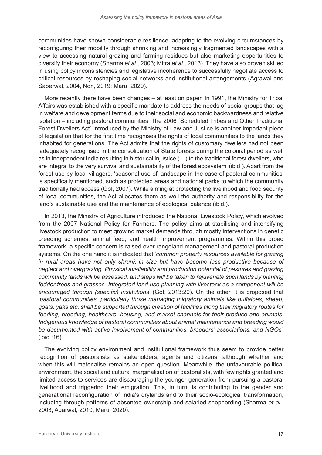communities have shown considerable resilience, adapting to the evolving circumstances by reconfiguring their mobility through shrinking and increasingly fragmented landscapes with a view to accessing natural grazing and farming residues but also marketing opportunities to diversify their economy (Sharma *et al.*, 2003; Mitra *et al.*, 2013). They have also proven skilled in using policy inconsistencies and legislative incoherence to successfully negotiate access to critical resources by reshaping social networks and institutional arrangements (Agrawal and Saberwal, 2004, Nori, 2019: Maru, 2020).

More recently there have been changes – at least on paper. In 1991, the Ministry for Tribal Affairs was established with a specific mandate to address the needs of social groups that lag in welfare and development terms due to their social and economic backwardness and relative isolation – including pastoral communities. The 2006 ´Scheduled Tribes and Other Traditional Forest Dwellers Act´ introduced by the Ministry of Law and Justice is another important piece of legislation that for the first time recognises the rights of local communities to the lands they inhabited for generations. The Act admits that the rights of customary dwellers had not been 'adequately recognised in the consolidation of State forests during the colonial period as well as in independent India resulting in historical injustice (…) to the traditional forest dwellers, who are integral to the very survival and sustainability of the forest ecosystem' (ibid.). Apart from the forest use by local villagers, 'seasonal use of landscape in the case of pastoral communities' is specifically mentioned, such as protected areas and national parks to which the community traditionally had access (GoI, 2007). While aiming at protecting the livelihood and food security of local communities, the Act allocates them as well the authority and responsibility for the land's sustainable use and the maintenance of ecological balance (ibid.).

In 2013, the Ministry of Agriculture introduced the National Livestock Policy, which evolved from the 2007 National Policy for Farmers. The policy aims at stabilising and intensifying livestock production to meet growing market demands through mostly interventions in genetic breeding schemes, animal feed, and health improvement programmes. Within this broad framework, a specific concern is raised over rangeland management and pastoral production systems. On the one hand it is indicated that '*common property resources available for grazing in rural areas have not only shrunk in size but have become less productive because of neglect and overgrazing. Physical availability and production potential of pastures and grazing community lands will be assessed, and steps will be taken to rejuvenate such lands by planting fodder trees and grasses. Integrated land use planning with livestock as a component will be encouraged through (specific) institutions*' (GoI, 2013:20). On the other, it is proposed that '*pastoral communities, particularly those managing migratory animals like buffaloes, sheep, goats, yaks etc. shall be supported through creation of facilities along their migratory routes for feeding, breeding, healthcare, housing, and market channels for their produce and animals. Indigenous knowledge of pastoral communities about animal maintenance and breeding would be documented with active involvement of communities, breeders' associations, and NGOs*´ (ibid.:16).

The evolving policy environment and institutional framework thus seem to provide better recognition of pastoralists as stakeholders, agents and citizens, although whether and when this will materialise remains an open question. Meanwhile, the unfavourable political environment, the social and cultural marginalisation of pastoralists, with few rights granted and limited access to services are discouraging the younger generation from pursuing a pastoral livelihood and triggering their emigration. This, in turn, is contributing to the gender and generational reconfiguration of India's drylands and to their socio-ecological transformation, including through patterns of absentee ownership and salaried shepherding (Sharma *et al.*, 2003; Agarwal, 2010; Maru, 2020).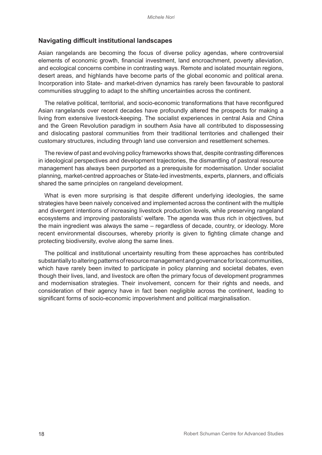## <span id="page-23-0"></span>**Navigating difficult institutional landscapes**

Asian rangelands are becoming the focus of diverse policy agendas, where controversial elements of economic growth, financial investment, land encroachment, poverty alleviation, and ecological concerns combine in contrasting ways. Remote and isolated mountain regions, desert areas, and highlands have become parts of the global economic and political arena. Incorporation into State- and market-driven dynamics has rarely been favourable to pastoral communities struggling to adapt to the shifting uncertainties across the continent.

The relative political, territorial, and socio-economic transformations that have reconfigured Asian rangelands over recent decades have profoundly altered the prospects for making a living from extensive livestock-keeping. The socialist experiences in central Asia and China and the Green Revolution paradigm in southern Asia have all contributed to dispossessing and dislocating pastoral communities from their traditional territories and challenged their customary structures, including through land use conversion and resettlement schemes.

The review of past and evolving policy frameworks shows that, despite contrasting differences in ideological perspectives and development trajectories, the dismantling of pastoral resource management has always been purported as a prerequisite for modernisation. Under socialist planning, market-centred approaches or State-led investments, experts, planners, and officials shared the same principles on rangeland development.

What is even more surprising is that despite different underlying ideologies, the same strategies have been naively conceived and implemented across the continent with the multiple and divergent intentions of increasing livestock production levels, while preserving rangeland ecosystems and improving pastoralists' welfare. The agenda was thus rich in objectives, but the main ingredient was always the same – regardless of decade, country, or ideology. More recent environmental discourses, whereby priority is given to fighting climate change and protecting biodiversity, evolve along the same lines.

The political and institutional uncertainty resulting from these approaches has contributed substantially to altering patterns of resource management and governance for local communities, which have rarely been invited to participate in policy planning and societal debates, even though their lives, land, and livestock are often the primary focus of development programmes and modernisation strategies. Their involvement, concern for their rights and needs, and consideration of their agency have in fact been negligible across the continent, leading to significant forms of socio-economic impoverishment and political marginalisation.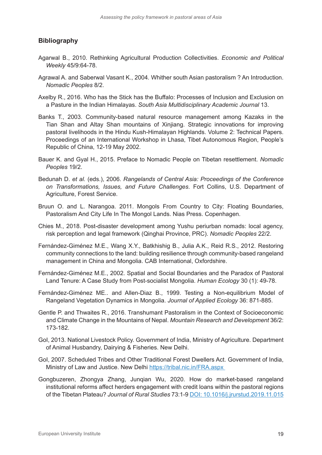## <span id="page-24-0"></span>**Bibliography**

- Agarwal B., 2010. Rethinking Agricultural Production Collectivities. *Economic and Political Weekly* 45/9:64-78.
- Agrawal A. and Saberwal Vasant K., 2004*.* Whither south Asian pastoralism ? An Introduction. *Nomadic Peoples* 8/2.
- Axelby R., 2016. Who has the Stick has the Buffalo: Processes of Inclusion and Exclusion on a Pasture in the Indian Himalayas. *South Asia Multidisciplinary Academic Journal* 13.
- Banks T., 2003. Community-based natural resource management among Kazaks in the Tian Shan and Altay Shan mountains of Xinjiang. Strategic innovations for improving pastoral livelihoods in the Hindu Kush-Himalayan Highlands. Volume 2: Technical Papers. Proceedings of an International Workshop in Lhasa, Tibet Autonomous Region, People's Republic of China, 12-19 May 2002.
- Bauer K. and Gyal H., 2015. Preface to Nomadic People on Tibetan resettlement. *Nomadic Peoples* 19/2.
- Bedunah D. *et al.* (eds.), 2006. *Rangelands of Central Asia: Proceedings of the Conference on Transformations, Issues, and Future Challenges*. Fort Collins, U.S. Department of Agriculture, Forest Service.
- Bruun O. and L. Narangoa. 2011. Mongols From Country to City: Floating Boundaries, Pastoralism And City Life In The Mongol Lands. Nias Press. Copenhagen.
- Chies M., 2018. Post-disaster development among Yushu periurban nomads: local agency, risk perception and legal framework (Qinghai Province, PRC). *Nomadic Peoples* 22/2.
- Fernández-Giménez M.E., Wang X.Y., Batkhishig B., Julia A.K., Reid R.S., 2012. Restoring community connections to the land: building resilience through community-based rangeland management in China and Mongolia. CAB International, Oxfordshire.
- Fernández-Giménez M.E., 2002. Spatial and Social Boundaries and the Paradox of Pastoral Land Tenure: A Case Study from Post-socialist Mongolia. *Human Ecology* 30 (1): 49-78.
- Fernández-Giménez ME.. and Allen-Diaz B., 1999. Testing a Non-equilibrium Model of Rangeland Vegetation Dynamics in Mongolia. *Journal of Applied Ecology* 36: 871-885.
- Gentle P. and Thwaites R., 2016. Transhumant Pastoralism in the Context of Socioeconomic and Climate Change in the Mountains of Nepal. *Mountain Research and Development* 36/2: 173-182.
- GoI, 2013. National Livestock Policy. Government of India, Ministry of Agriculture. Department of Animal Husbandry, Dairying & Fisheries. New Delhi.
- GoI, 2007. Scheduled Tribes and Other Traditional Forest Dwellers Act. Government of India, Ministry of Law and Justice. New Delhi<https://tribal.nic.in/FRA.aspx>
- [Gongbuzeren,](https://www.sciencedirect.com/science/article/abs/pii/S0743016719303420%22%20%5Cl%20%22!) [Zhongya Zhang](https://www.sciencedirect.com/science/article/abs/pii/S0743016719303420%22%20%5Cl%20%22!), [Junqian Wu,](https://www.sciencedirect.com/science/article/abs/pii/S0743016719303420%22%20%5Cl%20%22!) 2020. How do market-based rangeland institutional reforms affect herders engagement with credit loans within the pastoral regions of the Tibetan Plateau? *Journal of Rural Studies* 73:1-9 DOI: [10.1016/j.jrurstud.2019.11.015](https://doi.org/10.1016/j.jrurstud.2019.11.015)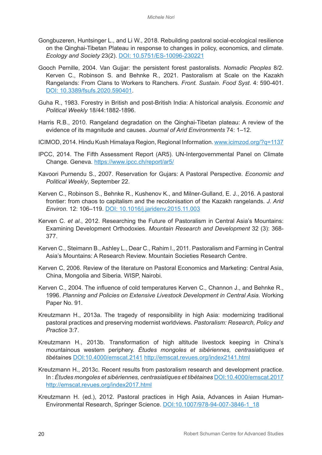- Gongbuzeren, Huntsinger L., and Li W., 2018. Rebuilding pastoral social-ecological resilience on the Qinghai-Tibetan Plateau in response to changes in policy, economics, and climate. *Ecology and Society* 23(2). [DOI: 10.5751/ES-10096-230221](https://doi.org/10.5751/ES-10096-230221)
- Gooch Pernille, 2004. Van Gujjar: the persistent forest pastoralists. *Nomadic Peoples* 8/2. Kerven C., Robinson S. and Behnke R., 2021. Pastoralism at Scale on the Kazakh Rangelands: From Clans to Workers to Ranchers. *Front. Sustain. Food Syst*. 4: 590-401. [DOI: 10.3389/fsufs.2020.590401](https://doi.org/10.3389/fsufs.2020.590401).
- Guha R., 1983. Forestry in British and post-British India: A historical analysis. *Economic and Political Weekly* 18/44:1882-1896.
- Harris R.B., 2010. Rangeland degradation on the Qinghai-Tibetan plateau: A review of the evidence of its magnitude and causes. *Journal of Arid Environments* 74: 1–12.
- ICIMOD, 2014. Hindu Kush Himalaya Region, Regional Information. [www.icimzod.org/?q=1137](http://www.icimzod.org/?q=1137 )
- IPCC, 2014. The Fifth Assessment Report (AR5). UN-Intergovernmental Panel on Climate Change. Geneva.<https://www.ipcc.ch/report/ar5/>
- Kavoori Purnendu S., 2007. Reservation for Gujars: A Pastoral Perspective. *Economic and Political Weekly*, September 22.
- Kerven C., Robinson S., Behnke R., Kushenov K., and Milner-Gulland, E. J., 2016. A pastoral frontier: from chaos to capitalism and the recolonisation of the Kazakh rangelands. *J. Arid Environ*. 12: 106–119. [DOI: 10.1016/j.jaridenv.2015.11.003](https://doi.org/10.1016/j.jaridenv.2015.11.003)
- Kerven C. *et al.*, 2012. Researching the Future of Pastoralism in Central Asia's Mountains: Examining Development Orthodoxies. *Mountain Research and Development* 32 (3): 368- 377.
- Kerven C., Steimann B., Ashley L., Dear C., Rahim I., 2011. Pastoralism and Farming in Central Asia's Mountains: A Research Review. Mountain Societies Research Centre.
- Kerven C, 2006. Review of the literature on Pastoral Economics and Marketing: Central Asia, China, Mongolia and Siberia. WISP, Nairobi.
- Kerven C., 2004. The influence of cold temperatures Kerven C., Channon J., and Behnke R., 1996. *Planning and Policies on Extensive Livestock Development in Central Asia.* Working Paper No. 91.
- Kreutzmann H., 2013a. The tragedy of responsibility in high Asia: modernizing traditional pastoral practices and preserving modernist worldviews. *Pastoralism: Research, Policy and Practice* 3:7.
- Kreutzmann H., 2013b. Transformation of high altitude livestock keeping in China's mountainous western periphery. *Études mongoles et sibériennes, centrasiatiques et tibétaine*s DOI:[10.4000/emscat](https://doi.org/10.4000/emscat).2141 <http://emscat.revues.org/index2141.html>
- Kreutzmann H., 2013c. Recent results from pastoralism research and development practice. In : *Études mongoles et sibériennes, centrasiatiques et tibétaines* DOI:[10.4000/emscat.](http://10.4000/emscat)2017 [http://emscat.revues.org/index2017.html](file://Users/diane/Documents/%20DIANE/%20WORK/PASTRES%203%20DEC21/%2522)
- Kreutzmann H. (ed.), 2012. Pastoral practices in High Asia, Advances in Asian Human-Environmental Research, Springer Science. [DOI:10.1007/978-94-007-3846-1\\_18](https://doi.org/10.1007/978-94-007-3846-1_18)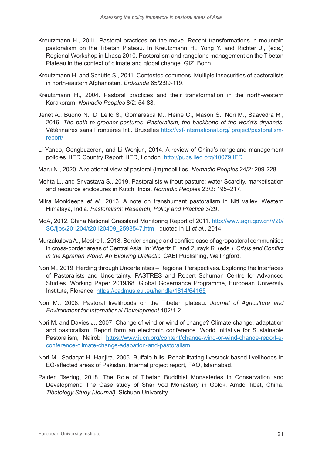- Kreutzmann H., 2011. Pastoral practices on the move. Recent transformations in mountain pastoralism on the Tibetan Plateau. In Kreutzmann H., Yong Y. and Richter J., (eds.) Regional Workshop in Lhasa 2010. Pastoralism and rangeland management on the Tibetan Plateau in the context of climate and global change. GIZ. Bonn.
- Kreutzmann H. and Schütte S., 2011. Contested commons. Multiple insecurities of pastoralists in north-eastern Afghanistan. *Erdkunde* 65/2:99-119.
- Kreutzmann H., 2004. Pastoral practices and their transformation in the north-western Karakoram. *Nomadic Peoples* 8/2: 54-88.
- Jenet A., Buono N., Di Lello S., Gomarasca M., Heine C., Mason S., Nori M., Saavedra R., 2016. *The path to greener pastures. Pastoralism, the backbone of the world's drylands*. Vétérinaires sans Frontiéres Intl. Bruxelles [http://vsf-international.org/ project/pastoralism](http://vsf-international.org/%20project/pastoralism-report/)[report/](http://vsf-international.org/%20project/pastoralism-report/)
- Li Yanbo, Gongbuzeren, and Li Wenjun, 2014. A review of China's rangeland management policies. IIED Country Report. IIED, London.<http://pubs.iied.org/10079IIED>
- Maru N., 2020. A relational view of pastoral (im)mobilities. *Nomadic Peoples* 24/2: 209-228.
- Mehta L., and Srivastava S., 2019. Pastoralists without pasture: water Scarcity, marketisation and resource enclosures in Kutch, India. *Nomadic Peoples* 23/2: 195–217.
- Mitra Monideepa *et al.*, 2013. A note on transhumant pastoralism in Niti valley, Western Himalaya, India. *Pastoralism: Research, Policy and Practice* 3/29.
- MoA, 2012. China National Grassland Monitoring Report of 2011. [http://www.agri.gov.cn/V20/](http://www.agri.gov.cn/V20/SC/jjps/201204/t20120409_2598547.htm) [SC/jjps/201204/t20120409\\_2598547.htm](http://www.agri.gov.cn/V20/SC/jjps/201204/t20120409_2598547.htm) - quoted in Li *et al.*, 2014.
- Murzakulova A., Mestre I., 2018. Border change and conflict: case of agropastoral communities in cross-border areas of Central Asia. In: Woertz E. and Zurayk R. (eds.), *Crisis and Conflict in the Agrarian World: An Evolving Dialectic*, CABI Publishing, Wallingford.
- Nori M., 2019. Herding through Uncertainties Regional Perspectives. Exploring the Interfaces of Pastoralists and Uncertainty. PASTRES and Robert Schuman Centre for Advanced Studies. Working Paper 2019/68. Global Governance Programme, European University Institute, Florence. <https://cadmus.eui.eu/handle/1814/64165>
- Nori M., 2008. Pastoral livelihoods on the Tibetan plateau. *Journal of Agriculture and Environment for International Development* 102/1-2.
- Nori M. and Davies J., 2007. Change of wind or wind of change? Climate change, adaptation and pastoralism. Report form an electronic conference. World Initiative for Sustainable Pastoralism, Nairobi [https://www.iucn.org/content/change-wind-or-wind-change-report-e](https://www.iucn.org/content/change-wind-or-wind-change-report-e-conference-climate-change-adapation-and-pastoralism)[conference-climate-change-adapation-and-pastoralism](https://www.iucn.org/content/change-wind-or-wind-change-report-e-conference-climate-change-adapation-and-pastoralism)
- Nori M., Sadaqat H. Hanjira, 2006. Buffalo hills. Rehabilitating livestock-based livelihoods in EQ-affected areas of Pakistan. Internal project report, FAO, Islamabad.
- Palden Tsering, 2018. The Role of Tibetan Buddhist Monasteries in Conservation and Development: The Case study of Shar Vod Monastery in Golok, Amdo Tibet, China. *Tibetology Study (Journal),* Sichuan University.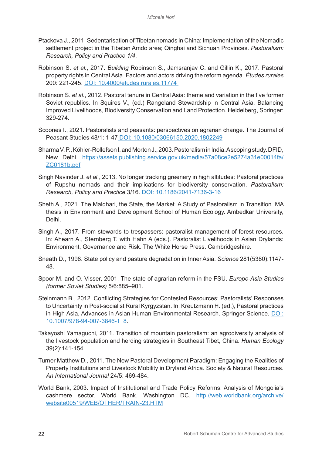- Ptackova J., 2011. Sedentarisation of Tibetan nomads in China: Implementation of the Nomadic settlement project in the Tibetan Amdo area; Qinghai and Sichuan Provinces. *Pastoralism: Research, Policy and Practice 1/4*.
- Robinson S. *et al.*, 2017. *Building* Robinson S., Jamsranjav C. and Gillin K., 2017. Pastoral property rights in Central Asia. Factors and actors driving the reform agenda. *Études rurales* 200: 221-245. [DOI: 10.4000/etudes rurales.11774](https://doi.org/10.4000/etudes rurales.11774 )
- Robinson S. *et al.*, 2012. Pastoral tenure in Central Asia: theme and variation in the five former Soviet republics. In Squires V., (ed.) Rangeland Stewardship in Central Asia. Balancing Improved Livelihoods, Biodiversity Conservation and Land Protection. Heidelberg, Springer: 329-274.
- Scoones I., 2021. Pastoralists and peasants: perspectives on agrarian change. The Journal of Peasant Studies 48/1: 1-47 [DOI: 10.1080/03066150.2020.1802249](https://doi.org/10.1080/03066150.2020.1802249)
- Sharma V. P., Köhler-Rollefson I. and Morton J., 2003. Pastoralism in India. A scoping study. DFID, New Delhi. [https://assets.publishing.service.gov.uk/media/57a08ce2e5274a31e00014fa/](https://assets.publishing.service.gov.uk/%20media/57a08ce2e5274a31e00014fa/ZC0181b.pdf) [ZC0181b.pdf](https://assets.publishing.service.gov.uk/%20media/57a08ce2e5274a31e00014fa/ZC0181b.pdf)
- Singh Navinder J. *et al.*, 2013. No longer tracking greenery in high altitudes: Pastoral practices of Rupshu nomads and their implications for biodiversity conservation. *Pastoralism: Research, Policy and Practice* 3/16. [DOI: 10.1186/2041-7136-3-16](https://doi.org/10.1186/2041-7136-3-16)
- Sheth A., 2021. The Maldhari, the State, the Market. A Study of Pastoralism in Transition. MA thesis in Environment and Development School of Human Ecology. Ambedkar University, Delhi.
- Singh A., 2017. From stewards to trespassers: pastoralist management of forest resources. In: Ahearn A., Sternberg T. with Hahn A (eds.). Pastoralist Livelihoods in Asian Drylands: Environment, Governance and Risk. The White Horse Press. Cambridgeshire.
- Sneath D., 1998. State policy and pasture degradation in Inner Asia. *Science* 281(5380):1147- 48.
- Spoor M. and O. Visser, 2001. The state of agrarian reform in the FSU. *Europe-Asia Studies (former Soviet Studies)* 5/6:885–901.
- Steinmann B., 2012. Conflicting Strategies for Contested Resources: Pastoralists' Responses to Uncertainty in Post-socialist Rural Kyrgyzstan. In: Kreutzmann H. (ed.), Pastoral practices in High Asia, Advances in Asian Human-Environmental Research. Springer Science. [DOI:](https://doi.org/10.1007/978-94-007-3846-1_8) [10.1007/978-94-007-3846-1\\_8.](https://doi.org/10.1007/978-94-007-3846-1_8)
- Takayoshi Yamaguchi, 2011. Transition of mountain pastoralism: an agrodiversity analysis of the livestock population and herding strategies in Southeast Tibet, China. *Human Ecology*  39(2):141-154
- Turner Matthew D., 2011. The New Pastoral Development Paradigm: Engaging the Realities of Property Institutions and Livestock Mobility in Dryland Africa. Society & Natural Resources. *An International Journal* 24/5: 469-484.
- World Bank, 2003. Impact of Institutional and Trade Policy Reforms: Analysis of Mongolia's cashmere sector. World Bank. Washington DC. [http://web.worldbank.org/archive/](http://web.worldbank.org/archive/website00519/WEB/OTHER/TRAIN-23.HTM) [website00519/WEB/OTHER/TRAIN-23.HTM](http://web.worldbank.org/archive/website00519/WEB/OTHER/TRAIN-23.HTM)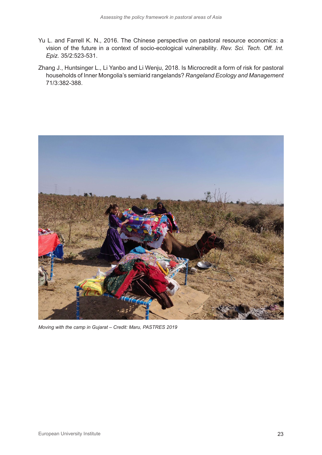- Yu L. and Farrell K. N., 2016. The Chinese perspective on pastoral resource economics: a vision of the future in a context of socio-ecological vulnerability*. Rev. Sci. Tech. Off. Int. Epiz.* 35/2:523-531.
- Zhang J., Huntsinger L., Li Yanbo and Li Wenju, 2018. Is Microcredit a form of risk for pastoral households of Inner Mongolia's semiarid rangelands? *Rangeland Ecology and Management*  71/3:382-388.



*Moving with the camp in Gujarat – Credit: Maru, PASTRES 2019*